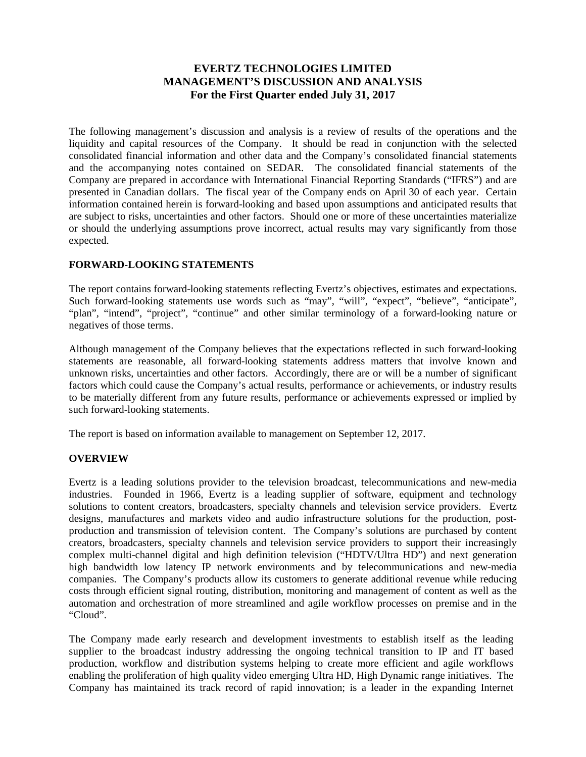# **EVERTZ TECHNOLOGIES LIMITED MANAGEMENT'S DISCUSSION AND ANALYSIS For the First Quarter ended July 31, 2017**

The following management's discussion and analysis is a review of results of the operations and the liquidity and capital resources of the Company. It should be read in conjunction with the selected consolidated financial information and other data and the Company's consolidated financial statements and the accompanying notes contained on SEDAR. The consolidated financial statements of the Company are prepared in accordance with International Financial Reporting Standards ("IFRS") and are presented in Canadian dollars. The fiscal year of the Company ends on April 30 of each year. Certain information contained herein is forward-looking and based upon assumptions and anticipated results that are subject to risks, uncertainties and other factors. Should one or more of these uncertainties materialize or should the underlying assumptions prove incorrect, actual results may vary significantly from those expected.

### **FORWARD-LOOKING STATEMENTS**

The report contains forward-looking statements reflecting Evertz's objectives, estimates and expectations. Such forward-looking statements use words such as "may", "will", "expect", "believe", "anticipate", "plan", "intend", "project", "continue" and other similar terminology of a forward-looking nature or negatives of those terms.

Although management of the Company believes that the expectations reflected in such forward-looking statements are reasonable, all forward-looking statements address matters that involve known and unknown risks, uncertainties and other factors. Accordingly, there are or will be a number of significant factors which could cause the Company's actual results, performance or achievements, or industry results to be materially different from any future results, performance or achievements expressed or implied by such forward-looking statements.

The report is based on information available to management on September 12, 2017.

### **OVERVIEW**

Evertz is a leading solutions provider to the television broadcast, telecommunications and new-media industries. Founded in 1966, Evertz is a leading supplier of software, equipment and technology solutions to content creators, broadcasters, specialty channels and television service providers. Evertz designs, manufactures and markets video and audio infrastructure solutions for the production, postproduction and transmission of television content. The Company's solutions are purchased by content creators, broadcasters, specialty channels and television service providers to support their increasingly complex multi-channel digital and high definition television ("HDTV/Ultra HD") and next generation high bandwidth low latency IP network environments and by telecommunications and new-media companies. The Company's products allow its customers to generate additional revenue while reducing costs through efficient signal routing, distribution, monitoring and management of content as well as the automation and orchestration of more streamlined and agile workflow processes on premise and in the "Cloud".

The Company made early research and development investments to establish itself as the leading supplier to the broadcast industry addressing the ongoing technical transition to IP and IT based production, workflow and distribution systems helping to create more efficient and agile workflows enabling the proliferation of high quality video emerging Ultra HD, High Dynamic range initiatives. The Company has maintained its track record of rapid innovation; is a leader in the expanding Internet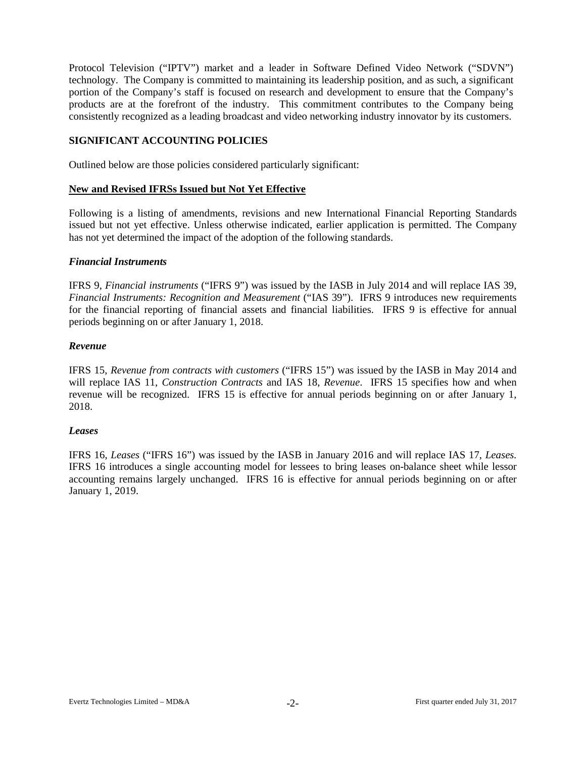Protocol Television ("IPTV") market and a leader in Software Defined Video Network ("SDVN") technology. The Company is committed to maintaining its leadership position, and as such, a significant portion of the Company's staff is focused on research and development to ensure that the Company's products are at the forefront of the industry. This commitment contributes to the Company being consistently recognized as a leading broadcast and video networking industry innovator by its customers.

#### **SIGNIFICANT ACCOUNTING POLICIES**

Outlined below are those policies considered particularly significant:

#### **New and Revised IFRSs Issued but Not Yet Effective**

Following is a listing of amendments, revisions and new International Financial Reporting Standards issued but not yet effective. Unless otherwise indicated, earlier application is permitted. The Company has not yet determined the impact of the adoption of the following standards.

#### *Financial Instruments*

IFRS 9, *Financial instruments* ("IFRS 9") was issued by the IASB in July 2014 and will replace IAS 39, *Financial Instruments: Recognition and Measurement* ("IAS 39"). IFRS 9 introduces new requirements for the financial reporting of financial assets and financial liabilities. IFRS 9 is effective for annual periods beginning on or after January 1, 2018.

#### *Revenue*

IFRS 15, *Revenue from contracts with customers* ("IFRS 15") was issued by the IASB in May 2014 and will replace IAS 11, *Construction Contracts* and IAS 18, *Revenue*. IFRS 15 specifies how and when revenue will be recognized. IFRS 15 is effective for annual periods beginning on or after January 1, 2018.

#### *Leases*

IFRS 16, *Leases* ("IFRS 16") was issued by the IASB in January 2016 and will replace IAS 17, *Leases.* IFRS 16 introduces a single accounting model for lessees to bring leases on-balance sheet while lessor accounting remains largely unchanged. IFRS 16 is effective for annual periods beginning on or after January 1, 2019.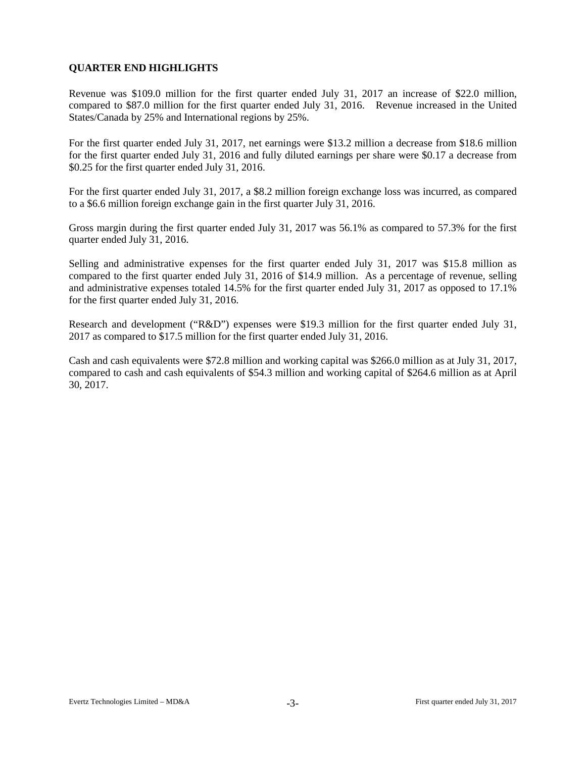# **QUARTER END HIGHLIGHTS**

Revenue was \$109.0 million for the first quarter ended July 31, 2017 an increase of \$22.0 million, compared to \$87.0 million for the first quarter ended July 31, 2016. Revenue increased in the United States/Canada by 25% and International regions by 25%.

For the first quarter ended July 31, 2017, net earnings were \$13.2 million a decrease from \$18.6 million for the first quarter ended July 31, 2016 and fully diluted earnings per share were \$0.17 a decrease from \$0.25 for the first quarter ended July 31, 2016.

For the first quarter ended July 31, 2017, a \$8.2 million foreign exchange loss was incurred, as compared to a \$6.6 million foreign exchange gain in the first quarter July 31, 2016.

Gross margin during the first quarter ended July 31, 2017 was 56.1% as compared to 57.3% for the first quarter ended July 31, 2016.

Selling and administrative expenses for the first quarter ended July 31, 2017 was \$15.8 million as compared to the first quarter ended July 31, 2016 of \$14.9 million. As a percentage of revenue, selling and administrative expenses totaled 14.5% for the first quarter ended July 31, 2017 as opposed to 17.1% for the first quarter ended July 31, 2016.

Research and development ("R&D") expenses were \$19.3 million for the first quarter ended July 31, 2017 as compared to \$17.5 million for the first quarter ended July 31, 2016.

Cash and cash equivalents were \$72.8 million and working capital was \$266.0 million as at July 31, 2017, compared to cash and cash equivalents of \$54.3 million and working capital of \$264.6 million as at April 30, 2017.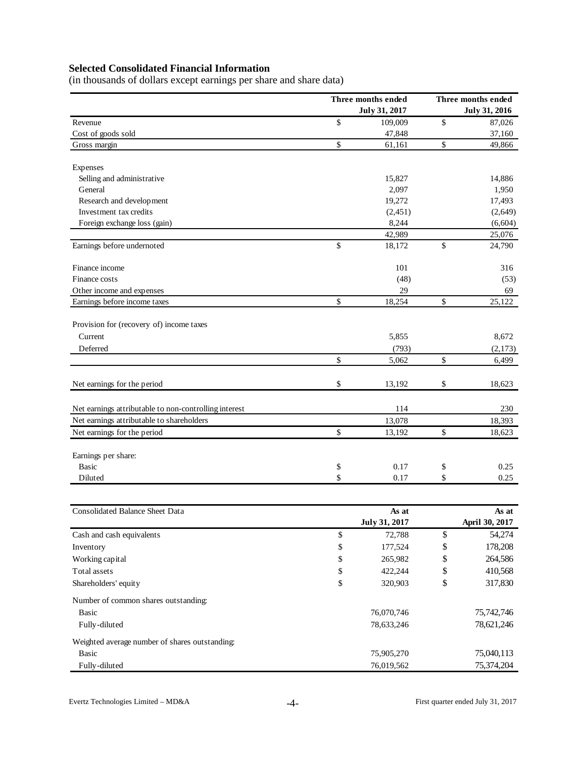# **Selected Consolidated Financial Information**

(in thousands of dollars except earnings per share and share data)

|                                                                                                    |              | Three months ended<br>July 31, 2017 | Three months ended<br><b>July 31, 2016</b> |                |  |  |  |
|----------------------------------------------------------------------------------------------------|--------------|-------------------------------------|--------------------------------------------|----------------|--|--|--|
| Revenue                                                                                            | \$           | 109,009                             | \$                                         | 87,026         |  |  |  |
| Cost of goods sold                                                                                 |              | 47,848                              |                                            | 37,160         |  |  |  |
| Gross margin                                                                                       | \$           | 61,161                              | \$                                         | 49,866         |  |  |  |
| Expenses                                                                                           |              |                                     |                                            |                |  |  |  |
| Selling and administrative                                                                         |              | 15,827                              |                                            | 14,886         |  |  |  |
| General                                                                                            |              | 2,097                               |                                            | 1,950          |  |  |  |
| Research and development                                                                           |              | 19,272                              |                                            | 17,493         |  |  |  |
| Investment tax credits                                                                             |              | (2,451)                             |                                            | (2,649)        |  |  |  |
| Foreign exchange loss (gain)                                                                       |              | 8,244                               |                                            | (6,604)        |  |  |  |
|                                                                                                    |              | 42,989                              |                                            | 25,076         |  |  |  |
| Earnings before undernoted                                                                         | \$           | 18,172                              | \$                                         | 24,790         |  |  |  |
| Finance income                                                                                     |              | 101                                 |                                            | 316            |  |  |  |
| Finance costs                                                                                      |              | (48)                                |                                            | (53)           |  |  |  |
| Other income and expenses                                                                          |              | 29                                  |                                            | 69             |  |  |  |
| Earnings before income taxes                                                                       | \$           | 18,254                              | \$                                         | 25,122         |  |  |  |
| Provision for (recovery of) income taxes                                                           |              |                                     |                                            |                |  |  |  |
| Current                                                                                            |              | 5,855                               |                                            | 8,672          |  |  |  |
| Deferred                                                                                           |              | (793)                               |                                            | (2,173)        |  |  |  |
|                                                                                                    | \$           | 5,062                               | \$                                         | 6,499          |  |  |  |
|                                                                                                    |              |                                     |                                            |                |  |  |  |
| Net earnings for the period                                                                        | \$           | 13,192                              | \$                                         | 18,623         |  |  |  |
|                                                                                                    |              | 114                                 |                                            |                |  |  |  |
| Net earnings attributable to non-controlling interest<br>Net earnings attributable to shareholders |              | 13,078                              |                                            | 230<br>18,393  |  |  |  |
| Net earnings for the period                                                                        | \$           |                                     |                                            |                |  |  |  |
|                                                                                                    |              | 13,192                              | \$                                         | 18,623         |  |  |  |
| Earnings per share:                                                                                |              |                                     |                                            |                |  |  |  |
| <b>Basic</b>                                                                                       | \$           | 0.17                                | \$                                         | 0.25           |  |  |  |
| Diluted                                                                                            | \$           | 0.17                                | \$                                         | 0.25           |  |  |  |
|                                                                                                    |              |                                     |                                            |                |  |  |  |
| <b>Consolidated Balance Sheet Data</b>                                                             |              | As at                               |                                            | As at          |  |  |  |
|                                                                                                    |              | July 31, 2017                       |                                            | April 30, 2017 |  |  |  |
| Cash and cash equivalents                                                                          | \$           | 72,788                              | \$                                         | 54,274         |  |  |  |
| Inventory                                                                                          | $\mathbb{S}$ | 177,524                             | \$                                         | 178,208        |  |  |  |
| Working capital                                                                                    | \$           | 265,982                             | \$                                         | 264,586        |  |  |  |
| Total assets                                                                                       | \$           | 422,244                             | \$                                         | 410,568        |  |  |  |
| Shareholders' equity                                                                               | \$           | 320,903                             | \$                                         | 317,830        |  |  |  |
| Number of common shares outstanding:                                                               |              |                                     |                                            |                |  |  |  |
| <b>Basic</b>                                                                                       |              | 76,070,746                          |                                            | 75,742,746     |  |  |  |
| Fully-diluted                                                                                      |              | 78,633,246                          |                                            | 78,621,246     |  |  |  |
| Weighted average number of shares outstanding:                                                     |              |                                     |                                            |                |  |  |  |
| <b>Basic</b>                                                                                       |              | 75,905,270                          |                                            | 75,040,113     |  |  |  |
| Fully-diluted                                                                                      |              | 76,019,562                          |                                            | 75,374,204     |  |  |  |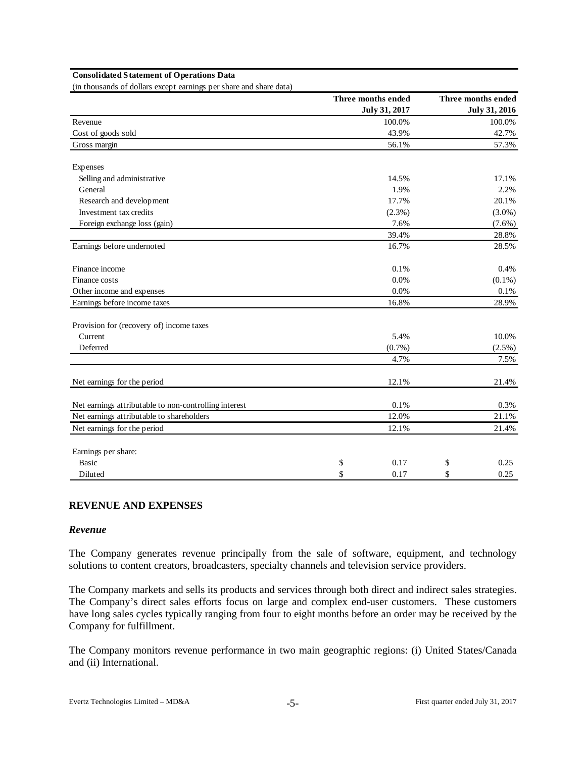#### **Consolidated Statement of Operations Data**

(in thousands of dollars except earnings per share and share data)

|                                                       | Three months ended | Three months ended   |
|-------------------------------------------------------|--------------------|----------------------|
|                                                       | July 31, 2017      | <b>July 31, 2016</b> |
| Revenue                                               | 100.0%             | 100.0%               |
| Cost of goods sold                                    | 43.9%              | 42.7%                |
| Gross margin                                          | 56.1%              | 57.3%                |
| Expenses                                              |                    |                      |
| Selling and administrative                            | 14.5%              | 17.1%                |
| General                                               | 1.9%               | 2.2%                 |
| Research and development                              | 17.7%              | 20.1%                |
| Investment tax credits                                | $(2.3\%)$          | $(3.0\%)$            |
| Foreign exchange loss (gain)                          | 7.6%               | $(7.6\%)$            |
|                                                       | 39.4%              | 28.8%                |
| Earnings before undernoted                            | 16.7%              | 28.5%                |
| Finance income                                        | 0.1%               | 0.4%                 |
| Finance costs                                         | 0.0%               | $(0.1\%)$            |
| Other income and expenses                             | 0.0%               | 0.1%                 |
| Earnings before income taxes                          | 16.8%              | 28.9%                |
| Provision for (recovery of) income taxes              |                    |                      |
| Current                                               | 5.4%               | 10.0%                |
| Deferred                                              | $(0.7\%)$          | (2.5%)               |
|                                                       | 4.7%               | 7.5%                 |
| Net earnings for the period                           | 12.1%              | 21.4%                |
| Net earnings attributable to non-controlling interest | 0.1%               | 0.3%                 |
| Net earnings attributable to shareholders             | 12.0%              | 21.1%                |
| Net earnings for the period                           | 12.1%              | 21.4%                |
| Earnings per share:                                   |                    |                      |
| <b>Basic</b>                                          | \$<br>0.17         | \$<br>0.25           |
| Diluted                                               | \$<br>0.17         | \$<br>0.25           |

#### **REVENUE AND EXPENSES**

#### *Revenue*

The Company generates revenue principally from the sale of software, equipment, and technology solutions to content creators, broadcasters, specialty channels and television service providers.

The Company markets and sells its products and services through both direct and indirect sales strategies. The Company's direct sales efforts focus on large and complex end-user customers. These customers have long sales cycles typically ranging from four to eight months before an order may be received by the Company for fulfillment.

The Company monitors revenue performance in two main geographic regions: (i) United States/Canada and (ii) International.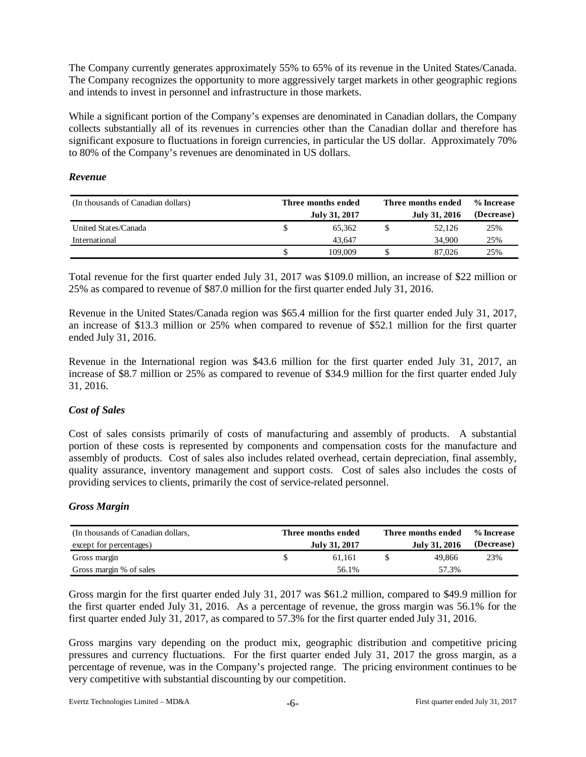The Company currently generates approximately 55% to 65% of its revenue in the United States/Canada. The Company recognizes the opportunity to more aggressively target markets in other geographic regions and intends to invest in personnel and infrastructure in those markets.

While a significant portion of the Company's expenses are denominated in Canadian dollars, the Company collects substantially all of its revenues in currencies other than the Canadian dollar and therefore has significant exposure to fluctuations in foreign currencies, in particular the US dollar. Approximately 70% to 80% of the Company's revenues are denominated in US dollars.

#### *Revenue*

| (In thousands of Canadian dollars) | Three months ended | Three months ended | % Increase |  |  |
|------------------------------------|--------------------|--------------------|------------|--|--|
|                                    | July 31, 2017      | July 31, 2016      | (Decrease) |  |  |
| United States/Canada               | 65.362             | 52.126             | 25%        |  |  |
| International                      | 43.647             | 34.900             | 25%        |  |  |
|                                    | 109.009            | 87,026             | 25%        |  |  |

Total revenue for the first quarter ended July 31, 2017 was \$109.0 million, an increase of \$22 million or 25% as compared to revenue of \$87.0 million for the first quarter ended July 31, 2016.

Revenue in the United States/Canada region was \$65.4 million for the first quarter ended July 31, 2017, an increase of \$13.3 million or 25% when compared to revenue of \$52.1 million for the first quarter ended July 31, 2016.

Revenue in the International region was \$43.6 million for the first quarter ended July 31, 2017, an increase of \$8.7 million or 25% as compared to revenue of \$34.9 million for the first quarter ended July 31, 2016.

### *Cost of Sales*

Cost of sales consists primarily of costs of manufacturing and assembly of products. A substantial portion of these costs is represented by components and compensation costs for the manufacture and assembly of products. Cost of sales also includes related overhead, certain depreciation, final assembly, quality assurance, inventory management and support costs. Cost of sales also includes the costs of providing services to clients, primarily the cost of service-related personnel.

### *Gross Margin*

| (In thousands of Canadian dollars, | Three months ended | Three months ended   | % Increase |
|------------------------------------|--------------------|----------------------|------------|
| except for percentages)            | July 31, 2017      | <b>July 31, 2016</b> | (Decrease) |
| Gross margin                       | 61.161             | 49.866               | 23%        |
| Gross margin % of sales            | 56.1%              | 57.3%                |            |

Gross margin for the first quarter ended July 31, 2017 was \$61.2 million, compared to \$49.9 million for the first quarter ended July 31, 2016. As a percentage of revenue, the gross margin was 56.1% for the first quarter ended July 31, 2017, as compared to 57.3% for the first quarter ended July 31, 2016.

Gross margins vary depending on the product mix, geographic distribution and competitive pricing pressures and currency fluctuations. For the first quarter ended July 31, 2017 the gross margin, as a percentage of revenue, was in the Company's projected range. The pricing environment continues to be very competitive with substantial discounting by our competition.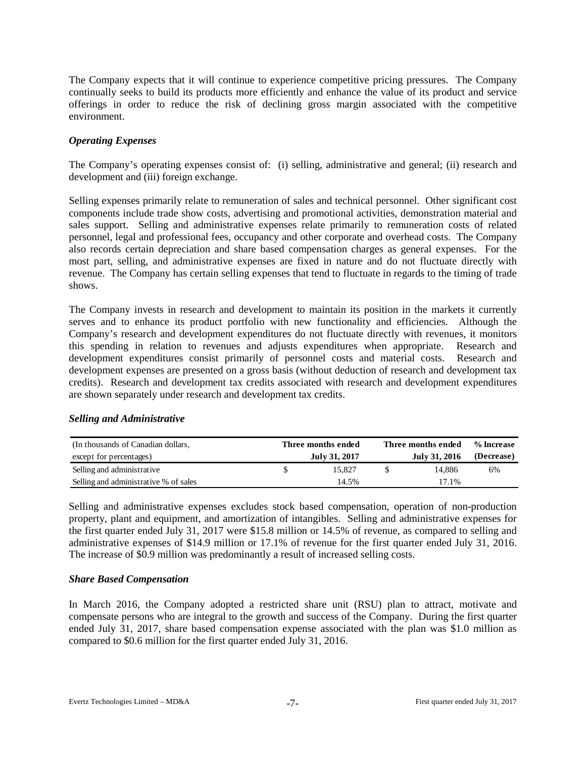The Company expects that it will continue to experience competitive pricing pressures. The Company continually seeks to build its products more efficiently and enhance the value of its product and service offerings in order to reduce the risk of declining gross margin associated with the competitive environment.

#### *Operating Expenses*

The Company's operating expenses consist of: (i) selling, administrative and general; (ii) research and development and (iii) foreign exchange.

Selling expenses primarily relate to remuneration of sales and technical personnel. Other significant cost components include trade show costs, advertising and promotional activities, demonstration material and sales support. Selling and administrative expenses relate primarily to remuneration costs of related personnel, legal and professional fees, occupancy and other corporate and overhead costs. The Company also records certain depreciation and share based compensation charges as general expenses. For the most part, selling, and administrative expenses are fixed in nature and do not fluctuate directly with revenue. The Company has certain selling expenses that tend to fluctuate in regards to the timing of trade shows.

The Company invests in research and development to maintain its position in the markets it currently serves and to enhance its product portfolio with new functionality and efficiencies. Although the Company's research and development expenditures do not fluctuate directly with revenues, it monitors this spending in relation to revenues and adjusts expenditures when appropriate. Research and development expenditures consist primarily of personnel costs and material costs. Research and development expenses are presented on a gross basis (without deduction of research and development tax credits). Research and development tax credits associated with research and development expenditures are shown separately under research and development tax credits.

| (In thousands of Canadian dollars,<br>except for percentages) | Three months ended<br>July 31, 2017 | Three months ended<br>July 31, 2016 | % Increase<br>(Decrease) |  |  |
|---------------------------------------------------------------|-------------------------------------|-------------------------------------|--------------------------|--|--|
| Selling and administrative                                    | 15.827                              | 14.886                              | 6%                       |  |  |
| Selling and administrative % of sales                         | 14.5%                               | 17.1%                               |                          |  |  |

### *Selling and Administrative*

Selling and administrative expenses excludes stock based compensation, operation of non-production property, plant and equipment, and amortization of intangibles. Selling and administrative expenses for the first quarter ended July 31, 2017 were \$15.8 million or 14.5% of revenue, as compared to selling and administrative expenses of \$14.9 million or 17.1% of revenue for the first quarter ended July 31, 2016. The increase of \$0.9 million was predominantly a result of increased selling costs.

### *Share Based Compensation*

In March 2016, the Company adopted a restricted share unit (RSU) plan to attract, motivate and compensate persons who are integral to the growth and success of the Company. During the first quarter ended July 31, 2017, share based compensation expense associated with the plan was \$1.0 million as compared to \$0.6 million for the first quarter ended July 31, 2016.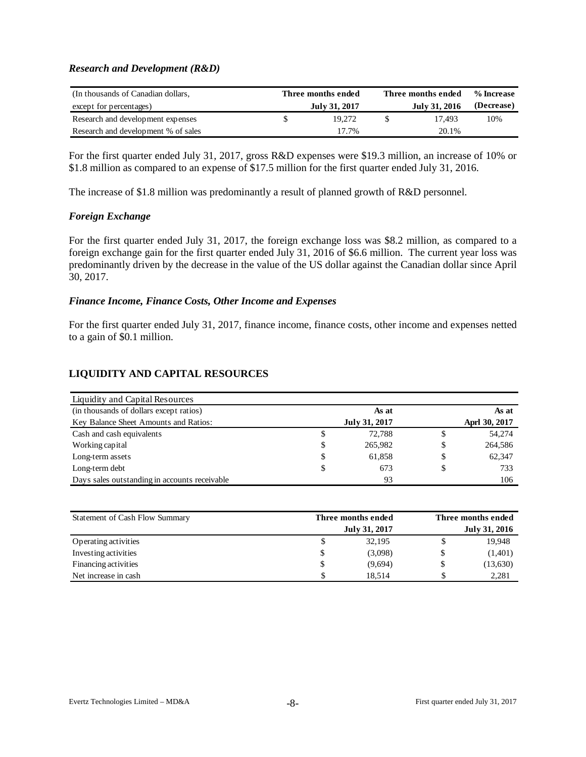#### *Research and Development (R&D)*

| (In thousands of Canadian dollars,  | Three months ended | Three months ended | % Increase |
|-------------------------------------|--------------------|--------------------|------------|
| except for percentages)             | July 31, 2017      | July 31, 2016      | (Decrease) |
| Research and development expenses   | 19.272             | 17.493             | 10%        |
| Research and development % of sales | 17.7%              | 20.1%              |            |

For the first quarter ended July 31, 2017, gross R&D expenses were \$19.3 million, an increase of 10% or \$1.8 million as compared to an expense of \$17.5 million for the first quarter ended July 31, 2016.

The increase of \$1.8 million was predominantly a result of planned growth of R&D personnel.

#### *Foreign Exchange*

For the first quarter ended July 31, 2017, the foreign exchange loss was \$8.2 million, as compared to a foreign exchange gain for the first quarter ended July 31, 2016 of \$6.6 million. The current year loss was predominantly driven by the decrease in the value of the US dollar against the Canadian dollar since April 30, 2017.

#### *Finance Income, Finance Costs, Other Income and Expenses*

For the first quarter ended July 31, 2017, finance income, finance costs, other income and expenses netted to a gain of \$0.1 million.

# **LIQUIDITY AND CAPITAL RESOURCES**

| <b>Liquidity and Capital Resources</b>        |               |   |               |
|-----------------------------------------------|---------------|---|---------------|
| (in thousands of dollars except ratios)       | As at         |   | As at         |
| Key Balance Sheet Amounts and Ratios:         | July 31, 2017 |   | Aprl 30, 2017 |
| Cash and cash equivalents<br>J                | 72.788        |   | 54,274        |
| Working capital<br>S                          | 265,982       | S | 264,586       |
| Long-term assets<br>\$                        | 61.858        |   | 62,347        |
| Long-term debt<br>S                           | 673           |   | 733           |
| Days sales outstanding in accounts receivable | 93            |   | 106           |

| Statement of Cash Flow Summary | Three months ended | Three months ended |   |          |  |  |  |
|--------------------------------|--------------------|--------------------|---|----------|--|--|--|
|                                | July 31, 2017      | July 31, 2016      |   |          |  |  |  |
| Operating activities           |                    | 32,195             |   | 19,948   |  |  |  |
| Investing activities           | J                  | (3,098)            |   | (1,401)  |  |  |  |
| Financing activities           | ъ                  | (9,694)            |   | (13,630) |  |  |  |
| Net increase in cash           | \$                 | 18.514             | S | 2,281    |  |  |  |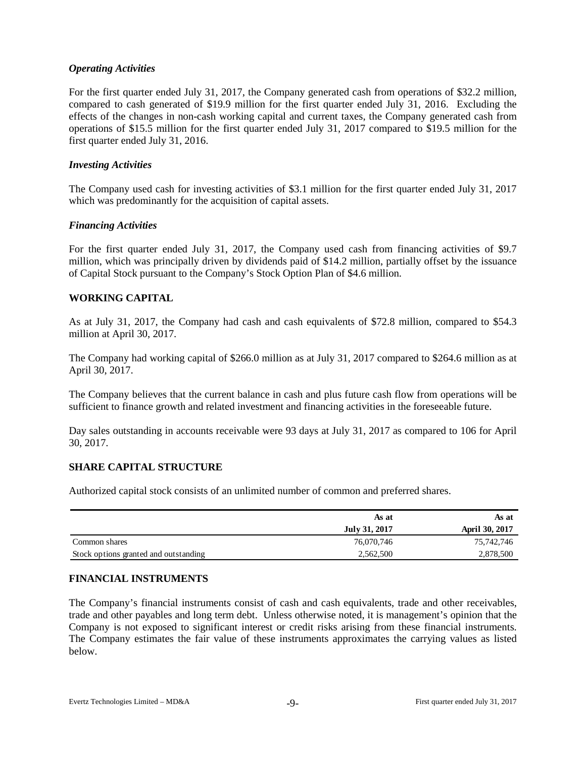#### *Operating Activities*

For the first quarter ended July 31, 2017, the Company generated cash from operations of \$32.2 million, compared to cash generated of \$19.9 million for the first quarter ended July 31, 2016. Excluding the effects of the changes in non-cash working capital and current taxes, the Company generated cash from operations of \$15.5 million for the first quarter ended July 31, 2017 compared to \$19.5 million for the first quarter ended July 31, 2016.

#### *Investing Activities*

The Company used cash for investing activities of \$3.1 million for the first quarter ended July 31, 2017 which was predominantly for the acquisition of capital assets.

#### *Financing Activities*

For the first quarter ended July 31, 2017, the Company used cash from financing activities of \$9.7 million, which was principally driven by dividends paid of \$14.2 million, partially offset by the issuance of Capital Stock pursuant to the Company's Stock Option Plan of \$4.6 million.

#### **WORKING CAPITAL**

As at July 31, 2017, the Company had cash and cash equivalents of \$72.8 million, compared to \$54.3 million at April 30, 2017.

The Company had working capital of \$266.0 million as at July 31, 2017 compared to \$264.6 million as at April 30, 2017.

The Company believes that the current balance in cash and plus future cash flow from operations will be sufficient to finance growth and related investment and financing activities in the foreseeable future.

Day sales outstanding in accounts receivable were 93 days at July 31, 2017 as compared to 106 for April 30, 2017.

#### **SHARE CAPITAL STRUCTURE**

Authorized capital stock consists of an unlimited number of common and preferred shares.

|                                       | As at         | As at                 |
|---------------------------------------|---------------|-----------------------|
|                                       | July 31, 2017 | <b>April 30, 2017</b> |
| Common shares                         | 76,070,746    | 75,742,746            |
| Stock options granted and outstanding | 2,562,500     | 2,878,500             |

### **FINANCIAL INSTRUMENTS**

The Company's financial instruments consist of cash and cash equivalents, trade and other receivables, trade and other payables and long term debt. Unless otherwise noted, it is management's opinion that the Company is not exposed to significant interest or credit risks arising from these financial instruments. The Company estimates the fair value of these instruments approximates the carrying values as listed below.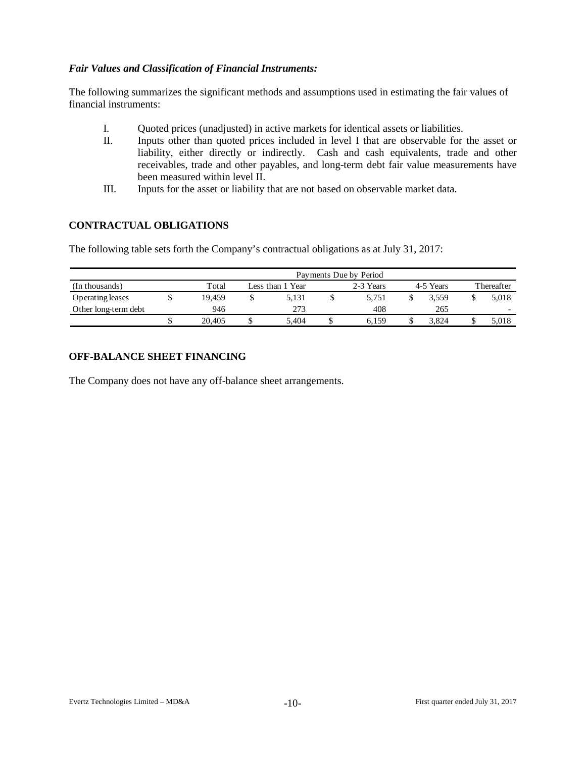## *Fair Values and Classification of Financial Instruments:*

The following summarizes the significant methods and assumptions used in estimating the fair values of financial instruments:

- I. Quoted prices (unadjusted) in active markets for identical assets or liabilities.
- II. Inputs other than quoted prices included in level I that are observable for the asset or liability, either directly or indirectly. Cash and cash equivalents, trade and other receivables, trade and other payables, and long-term debt fair value measurements have been measured within level II.
- III. Inputs for the asset or liability that are not based on observable market data.

## **CONTRACTUAL OBLIGATIONS**

The following table sets forth the Company's contractual obligations as at July 31, 2017:

| Payments Due by Period |  |        |  |                  |  |           |           |       |  |                          |  |  |  |
|------------------------|--|--------|--|------------------|--|-----------|-----------|-------|--|--------------------------|--|--|--|
| (In thousands)         |  | Total  |  | Less than 1 Year |  | 2-3 Years | 4-5 Years |       |  | Thereafter               |  |  |  |
| Operating leases       |  | 19.459 |  | 5.131            |  | 5.751     |           | 3.559 |  | 5.018                    |  |  |  |
| Other long-term debt   |  | 946    |  | 273              |  | 408       |           | 265   |  | $\overline{\phantom{0}}$ |  |  |  |
|                        |  | 20,405 |  | 5.404            |  | 6.159     |           | 3.824 |  | 5,018                    |  |  |  |

# **OFF-BALANCE SHEET FINANCING**

The Company does not have any off-balance sheet arrangements.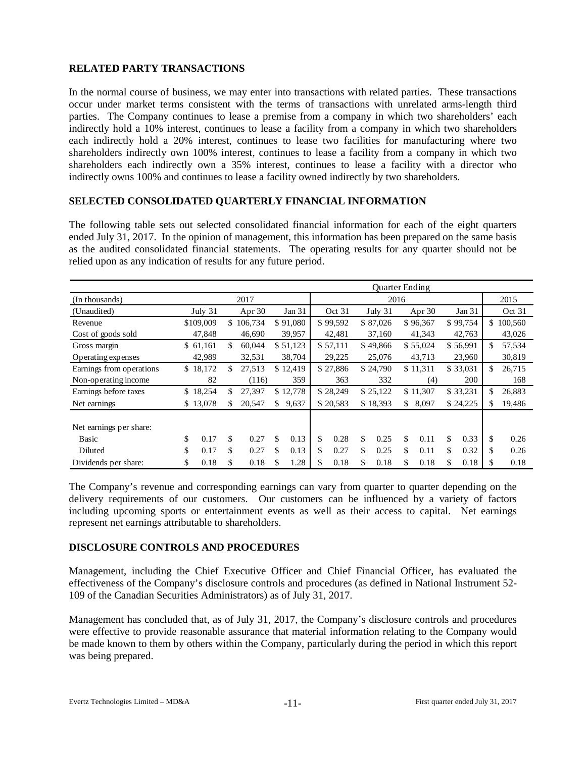# **RELATED PARTY TRANSACTIONS**

In the normal course of business, we may enter into transactions with related parties. These transactions occur under market terms consistent with the terms of transactions with unrelated arms-length third parties. The Company continues to lease a premise from a company in which two shareholders' each indirectly hold a 10% interest, continues to lease a facility from a company in which two shareholders each indirectly hold a 20% interest, continues to lease two facilities for manufacturing where two shareholders indirectly own 100% interest, continues to lease a facility from a company in which two shareholders each indirectly own a 35% interest, continues to lease a facility with a director who indirectly owns 100% and continues to lease a facility owned indirectly by two shareholders.

### **SELECTED CONSOLIDATED QUARTERLY FINANCIAL INFORMATION**

The following table sets out selected consolidated financial information for each of the eight quarters ended July 31, 2017. In the opinion of management, this information has been prepared on the same basis as the audited consolidated financial statements. The operating results for any quarter should not be relied upon as any indication of results for any future period.

|                          | Quarter Ending |           |    |           |    |          |    |          |    |          |                |          |            |              |
|--------------------------|----------------|-----------|----|-----------|----|----------|----|----------|----|----------|----------------|----------|------------|--------------|
| (In thousands)           | 2017           |           |    | 2016      |    |          |    |          |    | 2015     |                |          |            |              |
| (Unaudited)              |                | July 31   |    | Apr $30$  |    | Jan 31   |    | Oct 31   |    | July 31  |                | Apr 30   | Jan 31     | Oct 31       |
| Revenue                  |                | \$109,009 |    | \$106,734 |    | \$91,080 |    | \$99,592 |    | \$87,026 |                | \$96,367 | \$99,754   | \$100,560    |
| Cost of goods sold       |                | 47,848    |    | 46,690    |    | 39,957   |    | 42,481   |    | 37,160   |                | 41,343   | 42,763     | 43,026       |
| Gross margin             |                | \$61,161  | \$ | 60,044    |    | \$51,123 |    | \$57,111 |    | \$49,866 |                | \$55,024 | \$56,991   | \$<br>57,534 |
| Operating expenses       |                | 42,989    |    | 32,531    |    | 38,704   |    | 29,225   |    | 25,076   |                | 43,713   | 23,960     | 30,819       |
| Earnings from operations |                | \$18,172  | \$ | 27,513    |    | \$12,419 |    | \$27,886 |    | \$24,790 |                | \$11,311 | \$33,031   | \$<br>26,715 |
| Non-operating income     |                | 82        |    | (116)     |    | 359      |    | 363      |    | 332      |                | (4)      | 200        | 168          |
| Earnings before taxes    |                | \$18,254  | \$ | 27.397    |    | \$12,778 |    | \$28,249 |    | \$25,122 |                | \$11,307 | \$33,231   | \$<br>26,883 |
| Net earnings             |                | \$13,078  | \$ | 20,547    | \$ | 9,637    |    | \$20,583 |    | \$18,393 | $\mathbb{S}^-$ | 8,097    | \$24,225   | \$<br>19,486 |
|                          |                |           |    |           |    |          |    |          |    |          |                |          |            |              |
| Net earnings per share:  |                |           |    |           |    |          |    |          |    |          |                |          |            |              |
| <b>Basic</b>             | \$             | 0.17      | \$ | 0.27      | \$ | 0.13     | \$ | 0.28     | \$ | 0.25     | \$             | 0.11     | \$<br>0.33 | \$<br>0.26   |
| Diluted                  | \$             | 0.17      | \$ | 0.27      | \$ | 0.13     | \$ | 0.27     | \$ | 0.25     | \$             | 0.11     | \$<br>0.32 | \$<br>0.26   |
| Dividends per share:     | \$             | 0.18      | \$ | 0.18      | \$ | 1.28     | \$ | 0.18     | \$ | 0.18     | \$             | 0.18     | \$<br>0.18 | \$<br>0.18   |

The Company's revenue and corresponding earnings can vary from quarter to quarter depending on the delivery requirements of our customers. Our customers can be influenced by a variety of factors including upcoming sports or entertainment events as well as their access to capital. Net earnings represent net earnings attributable to shareholders.

### **DISCLOSURE CONTROLS AND PROCEDURES**

Management, including the Chief Executive Officer and Chief Financial Officer, has evaluated the effectiveness of the Company's disclosure controls and procedures (as defined in National Instrument 52- 109 of the Canadian Securities Administrators) as of July 31, 2017.

Management has concluded that, as of July 31, 2017, the Company's disclosure controls and procedures were effective to provide reasonable assurance that material information relating to the Company would be made known to them by others within the Company, particularly during the period in which this report was being prepared.